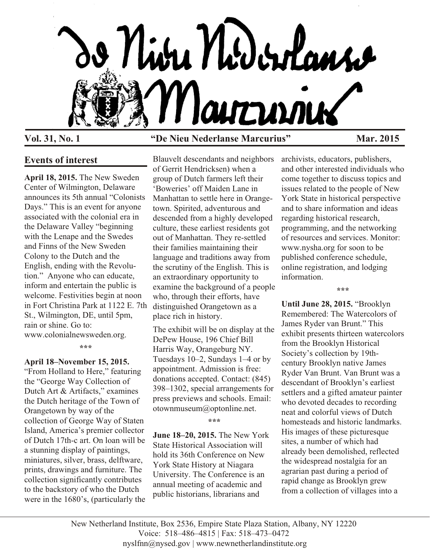

# **Vol. 31, No. 1 "De Nieu Nederlanse Marcurius" Mar. 2015**

# **Events of interest**

**April 18, 2015.** The New Sweden Center of Wilmington, Delaware announces its 5th annual "Colonists Days." This is an event for anyone associated with the colonial era in the Delaware Valley "beginning with the Lenape and the Swedes and Finns of the New Sweden Colony to the Dutch and the English, ending with the Revolution." Anyone who can educate, inform and entertain the public is welcome. Festivities begin at noon in Fort Christina Park at 1122 E. 7th St., Wilmington, DE, until 5pm, rain or shine. Go to: www.colonialnewsweden.org.

**\*\*\***

#### **April 18–November 15, 2015.**

"From Holland to Here," featuring the "George Way Collection of Dutch Art & Artifacts," examines the Dutch heritage of the Town of Orangetown by way of the collection of George Way of Staten Island, America's premier collector of Dutch 17th-c art. On loan will be a stunning display of paintings, miniatures, silver, brass, delftware, prints, drawings and furniture. The collection significantly contributes to the backstory of who the Dutch were in the 1680's, (particularly the

Blauvelt descendants and neighbors of Gerrit Hendricksen) when a group of Dutch farmers left their 'Boweries' off Maiden Lane in Manhattan to settle here in Orangetown. Spirited, adventurous and descended from a highly developed culture, these earliest residents got out of Manhattan. They re-settled their families maintaining their language and traditions away from the scrutiny of the English. This is an extraordinary opportunity to examine the background of a people who, through their efforts, have distinguished Orangetown as a place rich in history.

The exhibit will be on display at the DePew House, 196 Chief Bill Harris Way, Orangeburg NY. Tuesdays 10–2, Sundays 1–4 or by appointment. Admission is free: donations accepted. Contact: (845) 398–1302, special arrangements for press previews and schools. Email: otownmuseum@optonline.net.

**\*\*\***

**June 18–20, 2015.** The New York State Historical Association will hold its 36th Conference on New York State History at Niagara University. The Conference is an annual meeting of academic and public historians, librarians and

archivists, educators, publishers, and other interested individuals who come together to discuss topics and issues related to the people of New York State in historical perspective and to share information and ideas regarding historical research, programming, and the networking of resources and services. Monitor: www.nysha.org for soon to be published conference schedule, online registration, and lodging information.

**\*\*\***

**Until June 28, 2015.** "Brooklyn Remembered: The Watercolors of James Ryder van Brunt." This exhibit presents thirteen watercolors from the Brooklyn Historical Society's collection by 19thcentury Brooklyn native James Ryder Van Brunt. Van Brunt was a descendant of Brooklyn's earliest settlers and a gifted amateur painter who devoted decades to recording neat and colorful views of Dutch homesteads and historic landmarks. His images of these picturesque sites, a number of which had already been demolished, reflected the widespread nostalgia for an agrarian past during a period of rapid change as Brooklyn grew from a collection of villages into a

New Netherland Institute, Box 2536, Empire State Plaza Station, Albany, NY 12220 Voice: 518–486–4815 | Fax: 518–473–0472 nyslfnn@nysed.gov | www.newnetherlandinstitute.org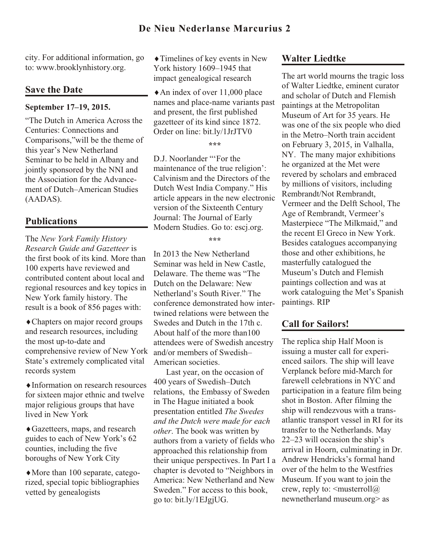city. For additional information, go to: www.brooklynhistory.org.

# **Save the Date**

#### **September 17–19, 2015.**

"The Dutch in America Across the Centuries: Connections and Comparisons,"will be the theme of this year's New Netherland Seminar to be held in Albany and jointly sponsored by the NNI and the Association for the Advancement of Dutch–American Studies (AADAS).

# **Publications**

The *New York Family History Research Guide and Gazetteer* is the first book of its kind. More than 100 experts have reviewed and contributed content about local and regional resources and key topics in New York family history. The result is a book of 856 pages with:

Chapters on major record groups and research resources, including the most up-to-date and comprehensive review of New York State's extremely complicated vital records system

Information on research resources for sixteen major ethnic and twelve major religious groups that have lived in New York

Gazetteers, maps, and research guides to each of New York's 62 counties, including the five boroughs of New York City

More than 100 separate, categorized, special topic bibliographies vetted by genealogists

Timelines of key events in New York history 1609–1945 that impact genealogical research

An index of over 11,000 place names and place-name variants past and present, the first published gazetteer of its kind since 1872. Order on line: bit.ly/1JrJTV0

**\*\*\***

D.J. Noorlander "'For the maintenance of the true religion': Calvinism and the Directors of the Dutch West India Company." His article appears in the new electronic version of the Sixteenth Century Journal: The Journal of Early Modern Studies. Go to: escj.org.

**\*\*\***

In 2013 the New Netherland Seminar was held in New Castle, Delaware. The theme was "The Dutch on the Delaware: New Netherland's South River." The conference demonstrated how intertwined relations were between the Swedes and Dutch in the 17th c. About half of the more than100 attendees were of Swedish ancestry and/or members of Swedish– American societies.

Last year, on the occasion of 400 years of Swedish–Dutch relations, the Embassy of Sweden in The Hague initiated a book presentation entitled *The Swedes and the Dutch were made for each other*. The book was written by authors from a variety of fields who approached this relationship from their unique perspectives. In Part I a chapter is devoted to "Neighbors in America: New Netherland and New Sweden." For access to this book, go to: bit.ly/1EJgjUG.

# **Walter Liedtke**

The art world mourns the tragic loss of Walter Liedtke, eminent curator and scholar of Dutch and Flemish paintings at the Metropolitan Museum of Art for 35 years. He was one of the six people who died in the Metro–North train accident on February 3, 2015, in Valhalla, NY. The many major exhibitions he organized at the Met were revered by scholars and embraced by millions of visitors, including Rembrandt/Not Rembrandt, Vermeer and the Delft School, The Age of Rembrandt, Vermeer's Masterpiece "The Milkmaid," and the recent El Greco in New York. Besides catalogues accompanying those and other exhibitions, he masterfully catalogued the Museum's Dutch and Flemish paintings collection and was at work cataloguing the Met's Spanish paintings. RIP

# **Call for Sailors!**

The replica ship Half Moon is issuing a muster call for experienced sailors. The ship will leave Verplanck before mid-March for farewell celebrations in NYC and participation in a feature film being shot in Boston. After filming the ship will rendezvous with a transatlantic transport vessel in RI for its transfer to the Netherlands. May 22–23 will occasion the ship's arrival in Hoorn, culminating in Dr. Andrew Hendricks's formal hand over of the helm to the Westfries Museum. If you want to join the crew, reply to:  $\leq$  musterroll $\omega$ newnetherland museum.org> as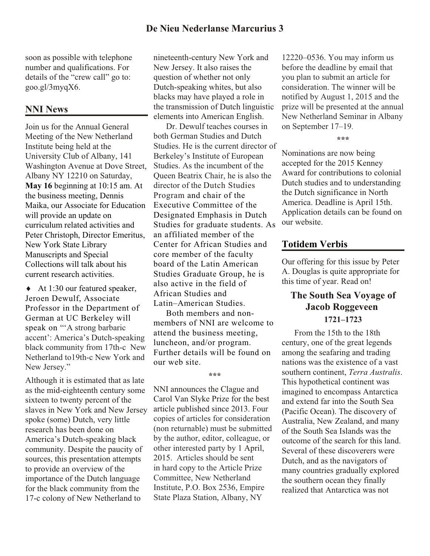soon as possible with telephone number and qualifications. For details of the "crew call" go to: goo.gl/3myqX6.

# **NNI News**

Join us for the Annual General Meeting of the New Netherland Institute being held at the University Club of Albany, 141 Washington Avenue at Dove Street, Albany NY 12210 on Saturday, **May 16** beginning at 10:15 am. At the business meeting, Dennis Maika, our Associate for Education will provide an update on curriculum related activities and Peter Christoph, Director Emeritus, New York State Library Manuscripts and Special Collections will talk about his current research activities.

At 1:30 our featured speaker, Jeroen Dewulf, Associate Professor in the Department of German at UC Berkeley will speak on "A strong barbaric accent': America's Dutch-speaking black community from 17th-c New Netherland to19th-c New York and New Jersey."

Although it is estimated that as late as the mid-eighteenth century some sixteen to twenty percent of the slaves in New York and New Jersey spoke (some) Dutch, very little research has been done on America's Dutch-speaking black community. Despite the paucity of sources, this presentation attempts to provide an overview of the importance of the Dutch language for the black community from the 17-c colony of New Netherland to

nineteenth-century New York and New Jersey. It also raises the question of whether not only Dutch-speaking whites, but also blacks may have played a role in the transmission of Dutch linguistic elements into American English.

Dr. Dewulf teaches courses in both German Studies and Dutch Studies. He is the current director of Berkeley's Institute of European Studies. As the incumbent of the Queen Beatrix Chair, he is also the director of the Dutch Studies Program and chair of the Executive Committee of the Designated Emphasis in Dutch Studies for graduate students. As an affiliated member of the Center for African Studies and core member of the faculty board of the Latin American Studies Graduate Group, he is also active in the field of African Studies and Latin–American Studies.

Both members and nonmembers of NNI are welcome to attend the business meeting, luncheon, and/or program. Further details will be found on our web site.

#### **\*\*\***

NNI announces the Clague and Carol Van Slyke Prize for the best article published since 2013. Four copies of articles for consideration (non returnable) must be submitted by the author, editor, colleague, or other interested party by 1 April, 2015. Articles should be sent in hard copy to the Article Prize Committee, New Netherland Institute, P.O. Box 2536, Empire State Plaza Station, Albany, NY

12220–0536. You may inform us before the deadline by email that you plan to submit an article for consideration. The winner will be notified by August 1, 2015 and the prize will be presented at the annual New Netherland Seminar in Albany on September 17–19.

**\*\*\***

Nominations are now being accepted for the 2015 Kenney Award for contributions to colonial Dutch studies and to understanding the Dutch significance in North America. Deadline is April 15th. Application details can be found on our website.

### **Totidem Verbis**

Our offering for this issue by Peter A. Douglas is quite appropriate for this time of year. Read on!

# **The South Sea Voyage of Jacob Roggeveen 1721–1723**

From the 15th to the 18th century, one of the great legends among the seafaring and trading nations was the existence of a vast southern continent, *Terra Australis*. This hypothetical continent was imagined to encompass Antarctica and extend far into the South Sea (Pacific Ocean). The discovery of Australia, New Zealand, and many of the South Sea Islands was the outcome of the search for this land. Several of these discoverers were Dutch, and as the navigators of many countries gradually explored the southern ocean they finally realized that Antarctica was not